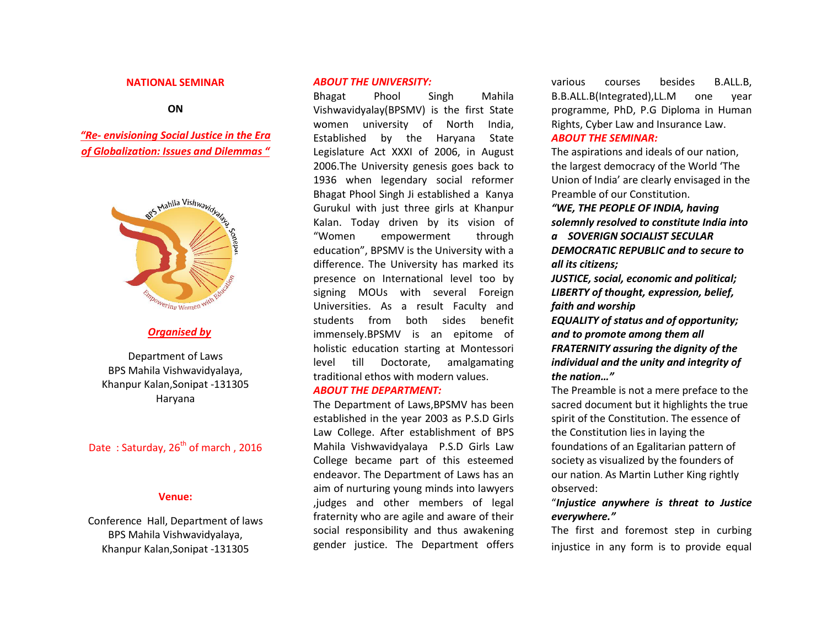#### **NATIONAL SEMINAR**

#### **ON**

*"Re- envisioning Social Justice in the Era of Globalization: Issues and Dilemmas "*



#### *Organised by*

Department of Laws BPS Mahila Vishwavidyalaya, Khanpur Kalan,Sonipat -131305 Haryana

# Date: Saturday,  $26^{th}$  of march, 2016

#### **Venue:**

Conference Hall, Department of laws BPS Mahila Vishwavidyalaya, Khanpur Kalan,Sonipat -131305

# *ABOUT THE UNIVERSITY:*

Bhagat Phool Singh Mahila Vishwavidyalay(BPSMV) is the first State women university of North India, Established by the Haryana State Legislature Act XXXI of 2006, in August 2006.The University genesis goes back to 1936 when legendary social reformer Bhagat Phool Singh Ji established a Kanya Gurukul with just three girls at Khanpur Kalan. Today driven by its vision of "Women empowerment through education", BPSMV is the University with a difference. The University has marked its presence on International level too by signing MOUs with several Foreign Universities. As a result Faculty and students from both sides benefit immensely.BPSMV is an epitome of holistic education starting at Montessori level till Doctorate, amalgamating traditional ethos with modern values.

# *ABOUT THE DEPARTMENT:*

The Department of Laws,BPSMV has been established in the year 2003 as P.S.D Girls Law College. After establishment of BPS Mahila Vishwavidyalaya P.S.D Girls Law College became part of this esteemed endeavor. The Department of Laws has an aim of nurturing young minds into lawyers ,judges and other members of legal fraternity who are agile and aware of their social responsibility and thus awakening gender justice. The Department offers various courses besides B.ALL.B, B.B.ALL.B(Integrated),LL.M one year programme, PhD, P.G Diploma in Human Rights, Cyber Law and Insurance Law. *ABOUT THE SEMINAR:*

The aspirations and ideals of our nation, the largest democracy of the World 'The Union of India' are clearly envisaged in the Preamble of our Constitution.

*"WE, THE PEOPLE OF INDIA, having solemnly resolved to constitute India into a SOVERIGN SOCIALIST SECULAR* 

*DEMOCRATIC REPUBLIC and to secure to all its citizens;*

*JUSTICE, social, economic and political; LIBERTY of thought, expression, belief, faith and worship*

*EQUALITY of status and of opportunity; and to promote among them all FRATERNITY assuring the dignity of the individual and the unity and integrity of the nation…"*

The Preamble is not a mere preface to the sacred document but it highlights the true spirit of the Constitution. The essence of the Constitution lies in laying the foundations of an Egalitarian pattern of society as visualized by the founders of our nation. As Martin Luther King rightly observed:

# "*Injustice anywhere is threat to Justice everywhere."*

The first and foremost step in curbing injustice in any form is to provide equal